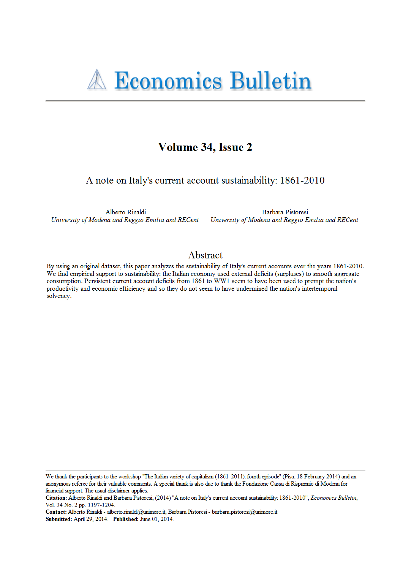# Volume 34, Issue 2

A note on Italy's current account sustainability: 1861-2010

Alberto Rinaldi University of Modena and Reggio Emilia and RECent

Barbara Pistoresi University of Modena and Reggio Emilia and RECent

# Abstract

By using an original dataset, this paper analyzes the sustainability of Italy's current accounts over the years 1861-2010. We find empirical support to sustainability: the Italian economy used external deficits (surpluses) to smooth aggregate consumption. Persistent current account deficits from 1861 to WW1 seem to have been used to prompt the nation's productivity and economic efficiency and so they do not seem to have undermined the nation's intertemporal solvency.

We thank the participants to the workshop "The Italian variety of capitalism (1861-2011): fourth episode" (Pisa, 18 February 2014) and an anonymous referee for their valuable comments. A special thank is also due to thank the Fondazione Cassa di Risparmio di Modena for financial support. The usual disclaimer applies.

Contact: Alberto Rinaldi - alberto.rinaldi@unimore.it, Barbara Pistoresi - barbara.pistoresi@unimore.it. Submitted: April 29, 2014. Published: June 01, 2014.

Citation: Alberto Rinaldi and Barbara Pistoresi, (2014) "A note on Italy's current account sustainability: 1861-2010", Economics Bulletin, Vol. 34 No. 2 pp. 1197-1204.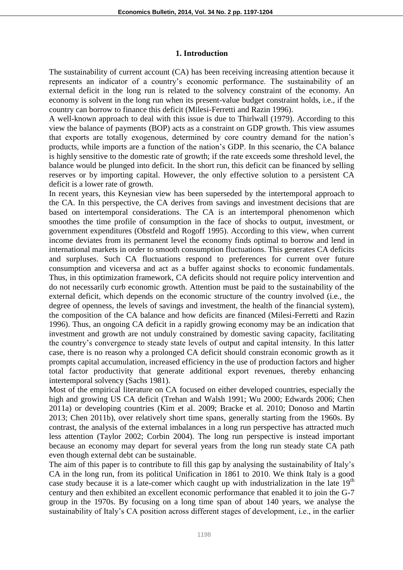## **1. Introduction**

The sustainability of current account (CA) has been receiving increasing attention because it represents an indicator of a country's economic performance. The sustainability of an external deficit in the long run is related to the solvency constraint of the economy. An economy is solvent in the long run when its present-value budget constraint holds, i.e., if the country can borrow to finance this deficit (Milesi-Ferretti and Razin 1996).

A well-known approach to deal with this issue is due to Thirlwall (1979). According to this view the balance of payments (BOP) acts as a constraint on GDP growth. This view assumes that exports are totally exogenous, determined by core country demand for the nation's products, while imports are a function of the nation's GDP. In this scenario, the CA balance is highly sensitive to the domestic rate of growth; if the rate exceeds some threshold level, the balance would be plunged into deficit. In the short run, this deficit can be financed by selling reserves or by importing capital. However, the only effective solution to a persistent CA deficit is a lower rate of growth.

In recent years, this Keynesian view has been superseded by the intertemporal approach to the CA. In this perspective, the CA derives from savings and investment decisions that are based on intertemporal considerations. The CA is an intertemporal phenomenon which smoothes the time profile of consumption in the face of shocks to output, investment, or government expenditures (Obstfeld and Rogoff 1995). According to this view, when current income deviates from its permanent level the economy finds optimal to borrow and lend in international markets in order to smooth consumption fluctuations. This generates CA deficits and surpluses. Such CA fluctuations respond to preferences for current over future consumption and viceversa and act as a buffer against shocks to economic fundamentals. Thus, in this optimization framework, CA deficits should not require policy intervention and do not necessarily curb economic growth. Attention must be paid to the sustainability of the external deficit, which depends on the economic structure of the country involved (i.e., the degree of openness, the levels of savings and investment, the health of the financial system), the composition of the CA balance and how deficits are financed (Milesi-Ferretti and Razin 1996). Thus, an ongoing CA deficit in a rapidly growing economy may be an indication that investment and growth are not unduly constrained by domestic saving capacity, facilitating the country's convergence to steady state levels of output and capital intensity. In this latter case, there is no reason why a prolonged CA deficit should constrain economic growth as it prompts capital accumulation, increased efficiency in the use of production factors and higher total factor productivity that generate additional export revenues, thereby enhancing intertemporal solvency (Sachs 1981).

Most of the empirical literature on CA focused on either developed countries, especially the high and growing US CA deficit (Trehan and Walsh 1991; Wu 2000; Edwards 2006; Chen 2011a) or developing countries (Kim et al. 2009; Bracke et al. 2010; Donoso and Martin 2013; Chen 2011b), over relatively short time spans, generally starting from the 1960s. By contrast, the analysis of the external imbalances in a long run perspective has attracted much less attention (Taylor 2002; Corbin 2004). The long run perspective is instead important because an economy may depart for several years from the long run steady state CA path even though external debt can be sustainable.

The aim of this paper is to contribute to fill this gap by analysing the sustainability of Italy's CA in the long run, from its political Unification in 1861 to 2010. We think Italy is a good case study because it is a late-comer which caught up with industrialization in the late  $19<sup>th</sup>$ century and then exhibited an excellent economic performance that enabled it to join the G-7 group in the 1970s. By focusing on a long time span of about 140 years, we analyse the sustainability of Italy's CA position across different stages of development, i.e., in the earlier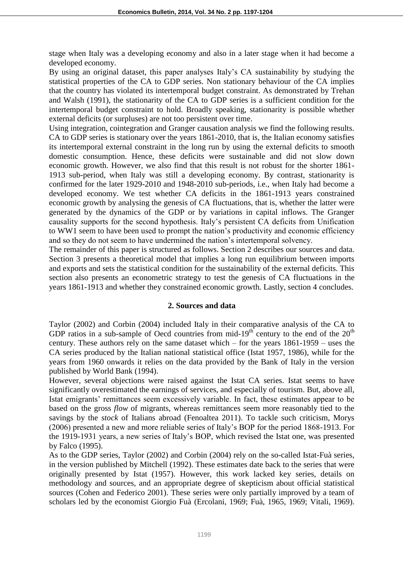stage when Italy was a developing economy and also in a later stage when it had become a developed economy.

By using an original dataset, this paper analyses Italy's CA sustainability by studying the statistical properties of the CA to GDP series. Non stationary behaviour of the CA implies that the country has violated its intertemporal budget constraint. As demonstrated by Trehan and Walsh (1991), the stationarity of the CA to GDP series is a sufficient condition for the intertemporal budget constraint to hold. Broadly speaking, stationarity is possible whether external deficits (or surpluses) are not too persistent over time.

Using integration, cointegration and Granger causation analysis we find the following results. CA to GDP series is stationary over the years 1861-2010, that is, the Italian economy satisfies its intertemporal external constraint in the long run by using the external deficits to smooth domestic consumption. Hence, these deficits were sustainable and did not slow down economic growth. However, we also find that this result is not robust for the shorter 1861- 1913 sub-period, when Italy was still a developing economy. By contrast, stationarity is confirmed for the later 1929-2010 and 1948-2010 sub-periods, i.e., when Italy had become a developed economy. We test whether CA deficits in the 1861-1913 years constrained economic growth by analysing the genesis of CA fluctuations, that is, whether the latter were generated by the dynamics of the GDP or by variations in capital inflows. The Granger causality supports for the second hypothesis. Italy's persistent CA deficits from Unification to WW1 seem to have been used to prompt the nation's productivity and economic efficiency and so they do not seem to have undermined the nation's intertemporal solvency.

The remainder of this paper is structured as follows. Section 2 describes our sources and data. Section 3 presents a theoretical model that implies a long run equilibrium between imports and exports and sets the statistical condition for the sustainability of the external deficits. This section also presents an econometric strategy to test the genesis of CA fluctuations in the years 1861-1913 and whether they constrained economic growth. Lastly, section 4 concludes.

#### **2. Sources and data**

Taylor (2002) and Corbin (2004) included Italy in their comparative analysis of the CA to GDP ratios in a sub-sample of Oecd countries from mid-19<sup>th</sup> century to the end of the  $20<sup>th</sup>$ century. These authors rely on the same dataset which – for the years 1861-1959 – uses the CA series produced by the Italian national statistical office (Istat 1957, 1986), while for the years from 1960 onwards it relies on the data provided by the Bank of Italy in the version published by World Bank (1994).

However, several objections were raised against the Istat CA series. Istat seems to have significantly overestimated the earnings of services, and especially of tourism. But, above all, Istat emigrants' remittances seem excessively variable. In fact, these estimates appear to be based on the gross *flow* of migrants, whereas remittances seem more reasonably tied to the savings by the *stock* of Italians abroad (Fenoaltea 2011). To tackle such criticism, Morys (2006) presented a new and more reliable series of Italy's BOP for the period 1868-1913. For the 1919-1931 years, a new series of Italy's BOP, which revised the Istat one, was presented by Falco (1995).

As to the GDP series, Taylor (2002) and Corbin (2004) rely on the so-called Istat-Fuà series, in the version published by Mitchell (1992). These estimates date back to the series that were originally presented by Istat (1957). However, this work lacked key series, details on methodology and sources, and an appropriate degree of skepticism about official statistical sources (Cohen and Federico 2001). These series were only partially improved by a team of scholars led by the economist Giorgio Fuà (Ercolani, 1969; Fuà, 1965, 1969; Vitali, 1969).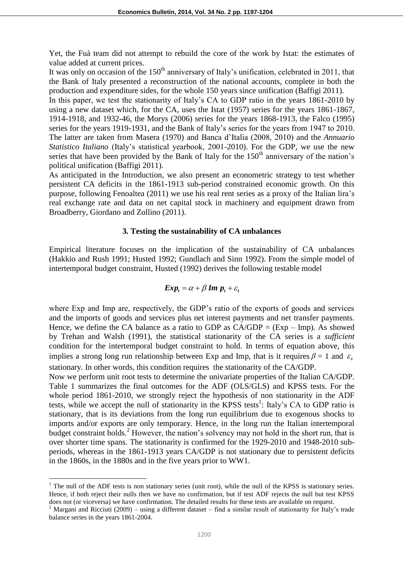Yet, the Fuà team did not attempt to rebuild the core of the work by Istat: the estimates of value added at current prices.

It was only on occasion of the  $150<sup>th</sup>$  anniversary of Italy's unification, celebrated in 2011, that the Bank of Italy presented a reconstruction of the national accounts, complete in both the production and expenditure sides, for the whole 150 years since unification (Baffigi 2011).

In this paper, we test the stationarity of Italy's CA to GDP ratio in the years 1861-2010 by using a new dataset which, for the CA, uses the Istat (1957) series for the years 1861-1867, 1914-1918, and 1932-46, the Morys (2006) series for the years 1868-1913, the Falco (1995) series for the years 1919-1931, and the Bank of Italy's series for the years from 1947 to 2010. The latter are taken from Masera (1970) and Banca d'Italia (2008, 2010) and the *Annuario Statistico Italiano* (Italy's statistical yearbook, 2001-2010). For the GDP, we use the new series that have been provided by the Bank of Italy for the  $150<sup>th</sup>$  anniversary of the nation's political unification (Baffigi 2011).

As anticipated in the Introduction, we also present an econometric strategy to test whether persistent CA deficits in the 1861-1913 sub-period constrained economic growth. On this purpose, following Fenoaltea (2011) we use his real rent series as a proxy of the Italian lira's real exchange rate and data on net capital stock in machinery and equipment drawn from Broadberry, Giordano and Zollino (2011).

## **3***.* **Testing the sustainability of CA unbalances**

Empirical literature focuses on the implication of the sustainability of CA unbalances (Hakkio and Rush 1991; Husted 1992; Gundlach and Sinn 1992). From the simple model of intertemporal budget constraint, Husted (1992) derives the following testable model

$$
Exp_t = \alpha + \beta Im p_t + \varepsilon_t
$$

where Exp and Imp are, respectively, the GDP's ratio of the exports of goods and services and the imports of goods and services plus net interest payments and net transfer payments. Hence, we define the CA balance as a ratio to GDP as  $CA/GDP = (Exp - Imp)$ . As showed by Trehan and Walsh (1991), the statistical stationarity of the CA series is a *sufficient* condition for the intertemporal budget constraint to hold. In terms of equation above, this implies a strong long run relationship between Exp and Imp, that is it requires  $\beta = 1$  and  $\varepsilon$ stationary. In other words, this condition requires the stationarity of the CA/GDP.

Now we perform unit root tests to determine the univariate properties of the Italian CA/GDP. Table 1 summarizes the final outcomes for the ADF (OLS/GLS) and KPSS tests. For the whole period 1861-2010, we strongly reject the hypothesis of non stationarity in the ADF tests, while we accept the null of stationarity in the KPSS tests<sup>1</sup>: Italy's CA to GDP ratio is stationary, that is its deviations from the long run equilibrium due to exogenous shocks to imports and/or exports are only temporary. Hence, in the long run the Italian intertemporal budget constraint holds.<sup>2</sup> However, the nation's solvency may not hold in the short run, that is over shorter time spans. The stationarity is confirmed for the 1929-2010 and 1948-2010 subperiods, whereas in the 1861-1913 years CA/GDP is not stationary due to persistent deficits in the 1860s, in the 1880s and in the five years prior to WW1.

 $\overline{a}$ 

<sup>&</sup>lt;sup>1</sup> The null of the ADF tests is non stationary series (unit root), while the null of the KPSS is stationary series. Hence, if both reject their nulls then we have no confirmation, but if test ADF rejects the null but test KPSS does not (or viceversa) we have confirmation. The detailed results for these tests are available on request.

<sup>&</sup>lt;sup>2</sup> Margani and Ricciuti (2009) – using a different dataset – find a similar result of stationarity for Italy's trade balance series in the years 1861-2004.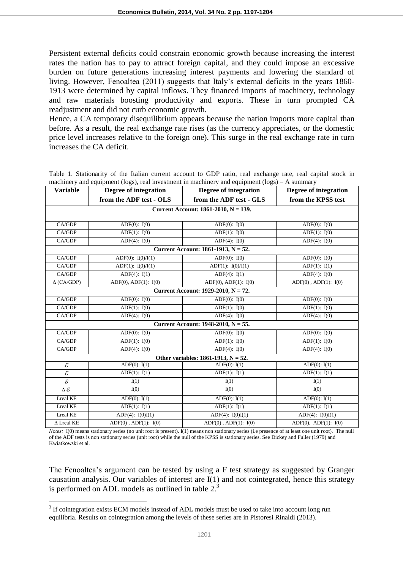Persistent external deficits could constrain economic growth because increasing the interest rates the nation has to pay to attract foreign capital, and they could impose an excessive burden on future generations increasing interest payments and lowering the standard of living. However, Fenoaltea (2011) suggests that Italy's external deficits in the years 1860- 1913 were determined by capital inflows. They financed imports of machinery, technology and raw materials boosting productivity and exports. These in turn prompted CA readjustment and did not curb economic growth.

Hence, a CA temporary disequilibrium appears because the nation imports more capital than before. As a result, the real exchange rate rises (as the currency appreciates, or the domestic price level increases relative to the foreign one). This surge in the real exchange rate in turn increases the CA deficit.

| <b>Variable</b>                        | machinery and equipment (rogs), real investment in machinery and equipment (rogs)<br>Degree of integration | Degree of integration        | – А бишшаі у<br>Degree of integration                          |  |  |  |
|----------------------------------------|------------------------------------------------------------------------------------------------------------|------------------------------|----------------------------------------------------------------|--|--|--|
|                                        | from the ADF test - OLS                                                                                    | from the ADF test - GLS      | from the KPSS test                                             |  |  |  |
| Current Account: 1861-2010, N = 139.   |                                                                                                            |                              |                                                                |  |  |  |
|                                        |                                                                                                            |                              |                                                                |  |  |  |
| CA/GDP                                 | ADF $(0)$ : $I(0)$                                                                                         | ADF $(0)$ : $I(0)$           | ADF $(0)$ : $I(0)$                                             |  |  |  |
| CA/GDP                                 | $ADF(1)$ : $I(0)$                                                                                          | $ADF(1)$ : $I(0)$            | $ADF(1)$ : $I(0)$                                              |  |  |  |
| CA/GDP                                 | ADF $(4)$ : I(0)                                                                                           | ADF(4): $I(0)$               | ADF $(4)$ : I(0)                                               |  |  |  |
| Current Account: $1861-1913$ , N = 52. |                                                                                                            |                              |                                                                |  |  |  |
| CA/GDP                                 | ADF(0): $I(0)/I(1)$                                                                                        | ADF(0): $I(0)$               | ADF $(0)$ : $I(0)$                                             |  |  |  |
| CA/GDP                                 | ADF(1): $I(0)/I(1)$                                                                                        | ADF(1): $I(0)/I(1)$          | ADF $(1)$ : I $(1)$                                            |  |  |  |
| CA/GDP                                 | ADF(4): $I(1)$                                                                                             | ADF(4): $I(1)$               | ADF(4): $I(0)$                                                 |  |  |  |
| $\Delta$ (CA/GDP)                      | ADF(0), ADF(1): I(0)                                                                                       | ADF(0), ADF(1): I(0)         | $\overline{\text{ADF}(0)}$ , $\overline{\text{ADF}(1)}$ : I(0) |  |  |  |
| Current Account: 1929-2010, $N = 72$ . |                                                                                                            |                              |                                                                |  |  |  |
| CA/GDP                                 | ADF(0): $I(0)$                                                                                             | ADF $(0)$ : $I(0)$           | ADF $(0)$ : $I(0)$                                             |  |  |  |
| CA/GDP                                 | $ADF(1)$ : $I(0)$                                                                                          | ADF $(1)$ : $I(0)$           | $ADF(1)$ : $I(0)$                                              |  |  |  |
| CA/GDP                                 | ADF $(4)$ : I(0)                                                                                           | ADF $(4)$ : $I(0)$           | ADF $(4)$ : $I(0)$                                             |  |  |  |
| Current Account: $1948-2010$ , N = 55. |                                                                                                            |                              |                                                                |  |  |  |
| CA/GDP                                 | ADF $(0)$ : $I(0)$                                                                                         | ADF $(0)$ : $I(0)$           | ADF $(0)$ : $I(0)$                                             |  |  |  |
| CA/GDP                                 | ADF $(1)$ : $I(0)$                                                                                         | ADF $(1)$ : $I(0)$           | ADF $(1)$ : $I(0)$                                             |  |  |  |
| CA/GDP                                 | ADF $(4)$ : $I(0)$                                                                                         | ADF(4): $I(0)$               | ADF $(4)$ : $I(0)$                                             |  |  |  |
| Other variables: 1861-1913, $N = 52$ . |                                                                                                            |                              |                                                                |  |  |  |
| $\mathcal E$                           | $ADF(0)$ : $I(1)$                                                                                          | ADF $(0)$ : I(1)             | ADF $(0)$ : I $(1)$                                            |  |  |  |
| $\overline{\mathcal{E}}$               | ADF $(1)$ : $I(1)$                                                                                         | ADF $(1)$ : I $(1)$          | ADF $(1)$ : $I(1)$                                             |  |  |  |
| $\mathcal E$                           | I(1)                                                                                                       | I(1)                         | I(1)                                                           |  |  |  |
| $\overline{\Delta \mathcal{E}}$        | I(0)                                                                                                       | I(0)                         | I(0)                                                           |  |  |  |
| Lreal KE                               | $ADF(0)$ : $I(1)$                                                                                          | $ADF(0)$ : $I(1)$            | $ADF(0)$ : $I(1)$                                              |  |  |  |
| <b>Lreal KE</b>                        | ADF $(1)$ : $I(1)$                                                                                         | ADF $(1)$ : $I(1)$           | ADF $(1)$ : $I(1)$                                             |  |  |  |
| Lreal KE                               | ADF(4): $I(0)I(1)$                                                                                         | ADF(4): $I(0)I(1)$           | ADF(4): $I(0)I(1)$                                             |  |  |  |
| $\Delta$ Lreal KE                      | $ADF(0)$ , $ADF(1)$ : $I(0)$                                                                               | $ADF(0)$ , $ADF(1)$ : $I(0)$ | $ADF(0)$ , $ADF(1)$ : $I(0)$                                   |  |  |  |

Table 1. Stationarity of the Italian current account to GDP ratio, real exchange rate, real capital stock in machinery and equipment (logs), real investment in machinery and equipment (logs) – A summary

*Notes:* I(0) means stationary series (no unit root is present). I(1) means non stationary series (i.e presence of at least one unit root). The null of the ADF tests is non stationary series (unit root) while the null of the KPSS is stationary series. See Dickey and Fuller (1979) and Kwiatkowski et al.

The Fenoaltea's argument can be tested by using a F test strategy as suggested by Granger causation analysis. Our variables of interest are I(1) and not cointegrated, hence this strategy is performed on ADL models as outlined in table  $2<sup>3</sup>$ 

 $\overline{a}$ 

<sup>&</sup>lt;sup>3</sup> If cointegration exists ECM models instead of ADL models must be used to take into account long run equilibria. Results on cointegration among the levels of these series are in Pistoresi Rinaldi (2013).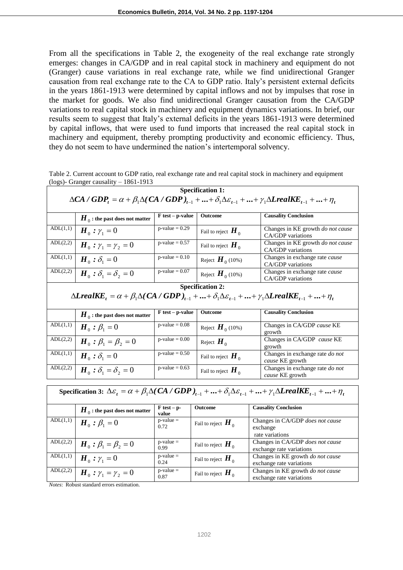From all the specifications in Table 2, the exogeneity of the real exchange rate strongly emerges: changes in CA/GDP and in real capital stock in machinery and equipment do not (Granger) cause variations in real exchange rate, while we find unidirectional Granger causation from real exchange rate to the CA to GDP ratio. Italy's persistent external deficits in the years 1861-1913 were determined by capital inflows and not by impulses that rose in the market for goods. We also find unidirectional Granger causation from the CA/GDP variations to real capital stock in machinery and equipment dynamics variations. In brief, our results seem to suggest that Italy's external deficits in the years 1861-1913 were determined by capital inflows, that were used to fund imports that increased the real capital stock in machinery and equipment, thereby prompting productivity and economic efficiency. Thus, they do not seem to have undermined the nation's intertemporal solvency.

Table 2. Current account to GDP ratio, real exchange rate and real capital stock in machinery and equipment (logs)- Granger causality – 1861-1913

| <b>Specification 1:</b>                                                                                                                                                                             |                                                 |                              |                                            |                                                                      |  |  |  |
|-----------------------------------------------------------------------------------------------------------------------------------------------------------------------------------------------------|-------------------------------------------------|------------------------------|--------------------------------------------|----------------------------------------------------------------------|--|--|--|
| $\Delta CA / GDP_t = \alpha + \beta_1 \Delta (CA / GDP)_{t-1} +  + \delta_1 \Delta \varepsilon_{t-1} +  + \gamma_1 \Delta L real K E_{t-1} +  + \eta_t$                                             |                                                 |                              |                                            |                                                                      |  |  |  |
|                                                                                                                                                                                                     | $\bm{H}_{\,0}$ : the past does not matter       | $F$ test – p-value           | Outcome                                    | <b>Causality Conclusion</b>                                          |  |  |  |
| ADL(1,1)                                                                                                                                                                                            | $\boldsymbol{H}_0$ : $\gamma_1 = 0$             | $p$ -value = 0.29            | Fail to reject $H_0$                       | Changes in KE growth do not cause<br>CA/GDP variations               |  |  |  |
| ADL(2,2)                                                                                                                                                                                            | $H_0: \gamma_1 = \gamma_2 = 0$                  | $p$ -value = 0.57            | Fail to reject $H_{\scriptscriptstyle{0}}$ | Changes in KE growth do not cause<br>CA/GDP variations               |  |  |  |
| ADL(1,1)                                                                                                                                                                                            | $H_0$ : $\delta_1 = 0$                          | $p-value = 0.10$             | Reject $\boldsymbol{H}_{0}$ (10%)          | Changes in exchange rate cause<br>CA/GDP variations                  |  |  |  |
| ADL(2,2)                                                                                                                                                                                            | $\boldsymbol{H}_0$ : $\delta_1 = \delta_2 = 0$  | $p-value = 0.07$             | Reject $\boldsymbol{H}_{0}$ (10%)          | Changes in exchange rate cause<br>CA/GDP variations                  |  |  |  |
| <b>Specification 2:</b>                                                                                                                                                                             |                                                 |                              |                                            |                                                                      |  |  |  |
| $\Delta \text{L} \text{real} \text{KE}_{t} = \alpha + \beta_1 \Delta (CA / GDP)_{t-1} +  + \delta_1 \Delta \varepsilon_{t-1} +  + \gamma_1 \Delta \text{L} \text{real} \text{KE}_{t-1} +  + \eta_t$ |                                                 |                              |                                            |                                                                      |  |  |  |
|                                                                                                                                                                                                     | $H_{\alpha}$ : the past does not matter         | $F$ test – p-value           | Outcome                                    | <b>Causality Conclusion</b>                                          |  |  |  |
| ADL(1,1)                                                                                                                                                                                            | $H_0: \beta_1 = 0$                              | $\overline{p}$ -value = 0.08 | Reject $\boldsymbol{H}_0$ (10%)            | Changes in CA/GDP cause KE<br>growth                                 |  |  |  |
| ADL(2,2)                                                                                                                                                                                            | $H_0: \beta_1 = \beta_2 = 0$                    | $p-value = 0.00$             | Reject $H_{\alpha}$                        | Changes in CA/GDP cause KE<br>growth                                 |  |  |  |
| ADL(1,1)                                                                                                                                                                                            | $\boldsymbol{H}_0$ : $\delta_1 = 0$             | $p$ -value = 0.50            | Fail to reject $H_{\scriptscriptstyle{0}}$ | Changes in exchange rate do not<br>cause KE growth                   |  |  |  |
| ADL(2,2)                                                                                                                                                                                            | $\boldsymbol{H}_0$ : $\delta_1 = \delta_2 = 0$  | $p-value = 0.63$             | Fail to reject $H_{\alpha}$                | Changes in exchange rate do not<br>cause KE growth                   |  |  |  |
|                                                                                                                                                                                                     |                                                 |                              |                                            |                                                                      |  |  |  |
| Specification 3: $\Delta \varepsilon_t = \alpha + \beta_1 \Delta (CA / GDP)_{t-1} +  + \delta_1 \Delta \varepsilon_{t-1} +  + \gamma_1 \Delta L real KE_{t-1} +  + \eta_t$                          |                                                 |                              |                                            |                                                                      |  |  |  |
|                                                                                                                                                                                                     | $\boldsymbol{H}_{0}$ : the past does not matter | $F$ test – p-<br>value       | Outcome                                    | <b>Causality Conclusion</b>                                          |  |  |  |
| ADL(1,1)                                                                                                                                                                                            | $\boldsymbol{H}_0: \boldsymbol{\beta}_1 = 0$    | $p$ -value =<br>0.72         | Fail to reject $H_0$                       | Changes in CA/GDP does not cause<br>exchange<br>rate variations      |  |  |  |
| ADL(2,2)                                                                                                                                                                                            | $H_0: \beta_1 = \beta_2 = 0$                    | $p$ -value =<br>0.99         | Fail to reject $H_0$                       | Changes in CA/GDP does not cause<br>exchange rate variations         |  |  |  |
| ADL(1,1)                                                                                                                                                                                            | $\boldsymbol{H}_0$ : $\gamma_1 = 0$             | $p-value =$<br>0.24          | Fail to reject $H_0$                       | Changes in KE growth <i>do not cause</i><br>exchange rate variations |  |  |  |
| ADL(2,2)                                                                                                                                                                                            | $H_0: \gamma_1 = \gamma_2 = 0$                  | $p-value =$<br>0.87          | Fail to reject $H_0$                       | Changes in KE growth do not cause<br>exchange rate variations        |  |  |  |

*Notes*: Robust standard errors estimation.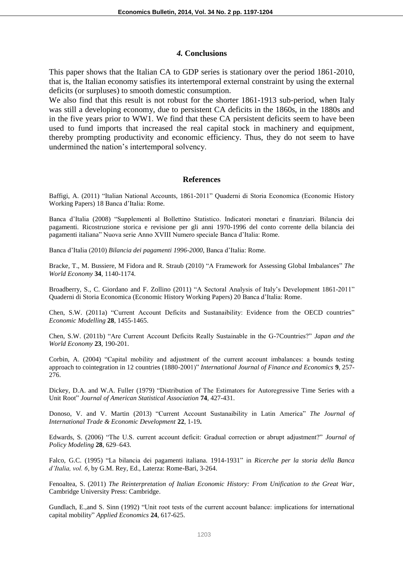#### *4.* **Conclusions**

This paper shows that the Italian CA to GDP series is stationary over the period 1861-2010, that is, the Italian economy satisfies its intertemporal external constraint by using the external deficits (or surpluses) to smooth domestic consumption.

We also find that this result is not robust for the shorter 1861-1913 sub-period, when Italy was still a developing economy, due to persistent CA deficits in the 1860s, in the 1880s and in the five years prior to WW1. We find that these CA persistent deficits seem to have been used to fund imports that increased the real capital stock in machinery and equipment, thereby prompting productivity and economic efficiency. Thus, they do not seem to have undermined the nation's intertemporal solvency.

#### **References**

Baffigi, A. (2011) "Italian National Accounts, 1861-2011" Quaderni di Storia Economica (Economic History Working Papers) 18 Banca d'Italia: Rome.

Banca d'Italia (2008) "Supplementi al Bollettino Statistico. Indicatori monetari e finanziari. Bilancia dei pagamenti. Ricostruzione storica e revisione per gli anni 1970-1996 del conto corrente della bilancia dei pagamenti italiana" Nuova serie Anno XVIII Numero speciale Banca d'Italia: Rome.

Banca d'Italia (2010) *Bilancia dei pagamenti 1996-2000*, Banca d'Italia: Rome.

Bracke, T., M. Bussiere, M Fidora and R. Straub (2010) "A Framework for Assessing Global Imbalances" *The World Economy* **34**, 1140-1174.

Broadberry, S., C. Giordano and F. Zollino (2011) "A Sectoral Analysis of Italy's Development 1861-2011" Quaderni di Storia Economica (Economic History Working Papers) 20 Banca d'Italia: Rome.

Chen, S.W. (2011a) "Current Account Deficits and Sustanaibility: Evidence from the OECD countries" *Economic Modelling* **28**, 1455-1465.

Chen, S.W. (2011b) "Are Current Account Deficits Really Sustainable in the G-7Countries?" *Japan and the World Economy* **23**, 190-201.

Corbin, A. (2004) "Capital mobility and adjustment of the current account imbalances: a bounds testing approach to cointegration in 12 countries (1880-2001)" *International Journal of Finance and Economics* **9**, 257- 276.

Dickey, D.A. and W.A. Fuller (1979) "Distribution of The Estimators for Autoregressive Time Series with a Unit Root" *Journal of American Statistical Association* **74**, 427-431.

Donoso, V. and V. Martin (2013) "Current Account Sustanaibility in Latin America" *The Journal of International Trade & Economic Development* **22**, 1-19**.** 

Edwards, S. (2006) "The U.S. current account deficit: Gradual correction or abrupt adjustment?" *Journal of Policy Modeling* **28**, 629–643.

Falco, G.C. (1995) "La bilancia dei pagamenti italiana. 1914-1931" in *Ricerche per la storia della Banca d'Italia, vol. 6*, by G.M. Rey, Ed., Laterza: Rome-Bari, 3-264.

Fenoaltea, S. (2011) *The Reinterpretation of Italian Economic History: From Unification to the Great War*, Cambridge University Press: Cambridge.

Gundlach, E.,and S. Sinn (1992) "Unit root tests of the current account balance: implications for international capital mobility" *Applied Economics* **24**, 617-625.